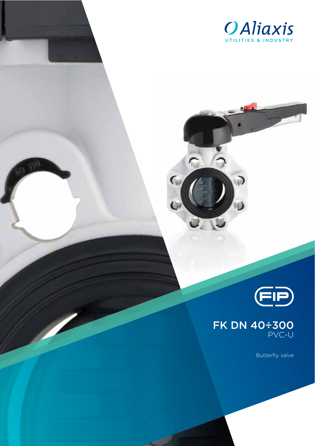

 $\overline{\mathsf{C}}$ 





Butterfly valve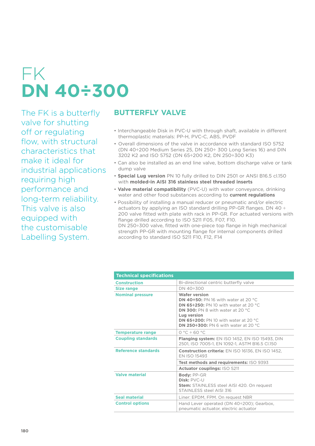# FK **DN 40÷300**

The FK is a butterfly valve for shutting off or regulating flow, with structural characteristics that make it ideal for industrial applications requiring high performance and long-term reliability. This valve is also equipped with the customisable Labelling System.

### **BUTTERFLY VALVE**

- Interchangeable Disk in PVC-U with through shaft, available in different thermoplastic materials: PP-H, PVC-C, ABS, PVDF
- Overall dimensions of the valve in accordance with standard ISO 5752 (DN 40÷200 Medium Series 25, DN 250÷ 300 Long Series 16) and DIN 3202 K2 and ISO 5752 (DN 65÷200 K2, DN 250÷300 K3)
- Can also be installed as an end line valve, bottom discharge valve or tank dump valve
- **Special Lug version** PN 10 fully drilled to DIN 2501 or ANSI B16.5 cl.150 with **molded-in AISI 316 stainless steel threaded inserts**
- **Valve material compatibility** (PVC-U) with water conveyance, drinking water and other food substances according to **current regulations**
- Possibility of installing a manual reducer or pneumatic and/or electric actuators by applying an ISO standard drilling PP-GR flanges. DN 40 ÷ 200 valve fitted with plate with rack in PP-GR. For actuated versions with flange drilled according to ISO 5211 F05, F07, F10. DN 250÷300 valve, fitted with one-piece top flange in high mechanical strength PP-GR with mounting flange for internal components drilled according to standard ISO 5211 F10, F12, F14

| <b>Technical specifications</b> |                                                                                                                                                                                                                                                                      |
|---------------------------------|----------------------------------------------------------------------------------------------------------------------------------------------------------------------------------------------------------------------------------------------------------------------|
| <b>Construction</b>             | Bi-directional centric butterfly valve                                                                                                                                                                                                                               |
| Size range                      | DN 40÷300                                                                                                                                                                                                                                                            |
| <b>Nominal pressure</b>         | <b>Wafer version</b><br>DN 40 $\div$ 50: PN 16 with water at 20 °C.<br>DN 65 $\div$ 250: PN 10 with water at 20 °C.<br>DN 300: PN 8 with water at 20 °C<br>Lug version<br>DN 65 $\div$ 200: PN 10 with water at 20 °C<br>DN 250 $\div$ 300: PN 6 with water at 20 °C |
| <b>Temperature range</b>        | $0 °C \div 60 °C$                                                                                                                                                                                                                                                    |
| <b>Coupling standards</b>       | <b>Flanging system:</b> EN ISO 1452, EN ISO 15493, DIN<br>2501, ISO 7005-1, EN 1092-1, ASTM B16.5 Cl.150                                                                                                                                                             |
| <b>Reference standards</b>      | <b>Construction criteria: EN ISO 16136, EN ISO 1452,</b><br><b>FN ISO 15493</b>                                                                                                                                                                                      |
|                                 | Test methods and requirements: ISO 9393                                                                                                                                                                                                                              |
|                                 | Actuator couplings: ISO 5211                                                                                                                                                                                                                                         |
| <b>Valve material</b>           | <b>Body: PP-GR</b><br>Disk: PVC-U<br><b>Stem:</b> STAINLESS steel AISI 420. On request<br>STAINLESS steel AISI 316                                                                                                                                                   |
| Seal material                   | Liner: EPDM, FPM. On request NBR                                                                                                                                                                                                                                     |
| <b>Control options</b>          | Hand Lever operated (DN 40÷200); Gearbox,<br>pneumatic actuator, electric actuator                                                                                                                                                                                   |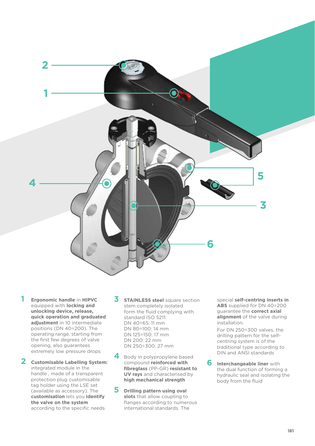

- **1 Ergonomic handle** in **HIPVC** equipped with **locking and unlocking device, release, quick operation and graduated adjustment** in 10 intermediate positions (DN 40÷200). The operating range, starting from the first few degrees of valve opening, also guarantees extremely low pressure drops
- **2 Customisable Labelling System:** integrated module in the handle , made of a transparent protection plug customisable tag holder using the LSE set (available as accessory). The **customisation** lets you **identify the valve on the system** according to the specific needs
- **3 STAINLESS steel** square section stem completely isolated form the fluid complying with standard ISO 5211: DN 40÷65: 11 mm DN 80÷100: 14 mm DN 125÷150: 17 mm DN 200: 22 mm DN 250÷300: 27 mm
- **4** Body in polypropylene based compound **reinforced with fibreglass** (PP-GR) **resistant to UV rays** and characterised by **high mechanical strength**
- **5 Drilling pattern using oval slots** that allow coupling to flanges according to numerous international standards. The

special **self-centring inserts in ABS** supplied for DN 40÷200 guarantee the **correct axial alignment** of the valve during installation.

For DN 250÷300 valves, the drilling pattern for the selfcentring system is of the traditional type according to DIN and ANSI standards

**6 Interchangeable liner** with the dual function of forming a hydraulic seal and isolating the body from the fluid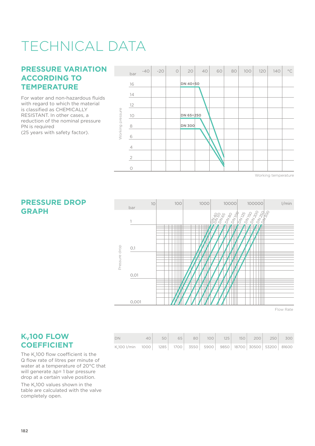# TECHNICAL DATA

#### **PRESSURE VARIATION ACCORDING TO TEMPERATURE**

For water and non-hazardous fluids with regard to which the material is classified as CHEMICALLY RESISTANT. In other cases, a reduction of the nominal pressure PN is required (25 years with safety factor).

**PRESSURE DROP** 

**GRAPH**



Working temperature



Flow Rate

#### **K<sub>v</sub>100 FLOW COEFFICIENT**

The K<sub>v</sub>100 flow coefficient is the Q flow rate of litres per minute of water at a temperature of 20°C that will generate  $\Delta p= 1$  bar pressure drop at a certain valve position.

The K<sub>v</sub>100 values shown in the table are calculated with the valve completely open.

| DN                                                                                               | 40 <sup>1</sup> | 50 |  |  |  | 65 80 100 125 150 200 250 300 |  |
|--------------------------------------------------------------------------------------------------|-----------------|----|--|--|--|-------------------------------|--|
| K <sub>v</sub> 100 l/min 1000   1285   1700   3550   5900   9850   18700   30500   53200   81600 |                 |    |  |  |  |                               |  |

#### **182**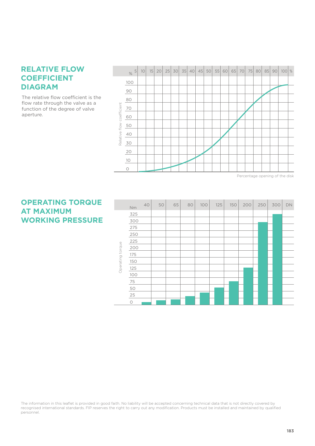#### **RELATIVE FLOW COEFFICIENT DIAGRAM**

The relative flow coefficient is the flow rate through the valve as a function of the degree of valve aperture.



**OPERATING TORQUE AT MAXIMUM WORKING PRESSURE**

|                  | Nm      | 40 | 50 | 65 | 80 | 100 | 125 | 150 | 200 | 250 | 300 | DN |
|------------------|---------|----|----|----|----|-----|-----|-----|-----|-----|-----|----|
|                  | 325     |    |    |    |    |     |     |     |     |     |     |    |
|                  | 300     |    |    |    |    |     |     |     |     |     |     |    |
|                  | 275     |    |    |    |    |     |     |     |     |     |     |    |
|                  | 250     |    |    |    |    |     |     |     |     |     |     |    |
|                  | 225     |    |    |    |    |     |     |     |     |     |     |    |
| Operating torque | 200     |    |    |    |    |     |     |     |     |     |     |    |
|                  | 175     |    |    |    |    |     |     |     |     |     |     |    |
|                  | 150     |    |    |    |    |     |     |     |     |     |     |    |
|                  | 125     |    |    |    |    |     |     |     |     |     |     |    |
|                  | 100     |    |    |    |    |     |     |     |     |     |     |    |
|                  | 75      |    |    |    |    |     |     |     |     |     |     |    |
|                  | 50      |    |    |    |    |     |     |     |     |     |     |    |
|                  | 25      |    |    |    |    |     |     |     |     |     |     |    |
|                  | $\circ$ |    |    |    |    |     |     |     |     |     |     |    |

The information in this leaflet is provided in good faith. No liability will be accepted concerning technical data that is not directly covered by recognised international standards. FIP reserves the right to carry out any modification. Products must be installed and maintained by qualified personnel.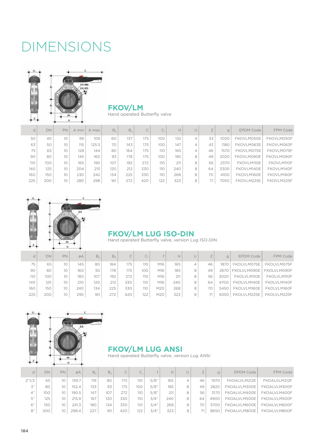### DIMENSIONS



### **FKOV/LM**

Hand operated Butterfly valve

| d   | DN  | PN | A min | A max | B <sub>2</sub> | B <sub>z</sub> | $\widehat{\phantom{m}}$<br>C | ◡ュ  | H   |   |    |      | EPDM Code  | <b>FPM Code</b> |
|-----|-----|----|-------|-------|----------------|----------------|------------------------------|-----|-----|---|----|------|------------|-----------------|
| 50  | 40  | 10 | 99    | 109   | 60             | 137            | 175                          | 100 | 132 | 4 | 33 | 1000 | FKOVLM050E | FKOVLM050F      |
| 63  | 50  | 10 | 115   | 25.5  | 70             | 143            | 175                          | 100 | 147 | 4 | 43 | 1180 | FKOVLM063E | FKOVLM063F      |
| 75  | 65  | 10 | 128   | 144   | 80             | 164            | 175                          | 110 | 165 | 4 | 46 | 1570 | FKOVLM075E | FKOVLM075F      |
| 90  | 80  | 10 | 145   | 160   | 93             | 178            | 175                          | 100 | 185 | 8 | 49 | 2020 | FKOVLM090E | FKOVLM090F      |
| 110 | 100 | 10 | 165   | 190   | 107            | 192            | 272                          | 110 | 211 | 8 | 56 | 2370 | FKOVLM110E | FKOVLM110F      |
| 140 | 125 | 10 | 204   | 215   | 120            | 212            | 330                          | 110 | 240 | 8 | 64 | 3300 | FKOVLM140E | FKOVLM140F      |
| 160 | 150 | 10 | 230   | 242   | 134            | 225            | 330                          | 110 | 268 | 8 | 70 | 4100 | FKOVLM160E | FKOVLM160F      |
| 225 | 200 | 10 | 280   | 298   | 161            | 272            | 420                          | 122 | 323 | 8 | 71 | 7050 | FKOVLM225E | FKOVLM225F      |



#### **FKOV/LM LUG ISO-DIN**

Hand operated Butterfly valve, version Lug ISO-DIN

| d          | DN  | PN. | øA  | B <sub>2</sub> | B,  |     | u.  |     | Н   |    | g    | <b>EPDM Code</b> | FPM Code    |
|------------|-----|-----|-----|----------------|-----|-----|-----|-----|-----|----|------|------------------|-------------|
| 75         | 65  | 10  | 145 | 80             | 164 | 175 | 110 | M16 | 165 | 46 | 1870 | FKOLVLM075E      | FKOLVLM075F |
| 90         | 80  | 10  | 160 | 93             | 178 | 175 | 100 | M16 | 185 | 49 | 2670 | FKOLVLM090E      | FKOLVLM090F |
| <b>110</b> | 100 | 10  | 180 | 107            | 192 | 272 | 110 | M16 | 211 | 56 | 3020 | FKOLVLM110E      | FKOLVLM110F |
| 140        | 125 | 10  | 210 | 120            | 212 | 330 | 110 | M16 | 240 | 64 | 470C | FKOLVLM140E      | FKOLVLM140F |
| 160        | 150 | 10  | 240 | 134            | 225 | 330 | 110 | M20 | 268 |    | 5450 | FKOLVLM160E      | FKOLVLM160F |
| 225        | 200 | 10  | 295 | 161            | 272 | 420 | 122 | M20 | 323 |    | 8350 | FKOLVLM225E      | FKOLVLM225F |



#### **FKOV/LM LUG ANSI**

Hand operated Butterfly valve, version Lug ANSI

| d     | DN  | <b>PN</b> | ØA    | В,  | B <sub>z</sub> | C   | $\sim$<br>U1 |      | H   |   |    | q    | EPDM Code    | FPM Code     |
|-------|-----|-----------|-------|-----|----------------|-----|--------------|------|-----|---|----|------|--------------|--------------|
| 2"1/2 | 65  | 10        | 139.7 | 119 | 80             | 175 | 110          | 5/8" | 165 | 4 | 46 | 1970 | FKOALVLM212E | FKOALVLM212F |
| 3"    | 80  | 10        | 152.4 | 133 | 93             | 175 | 100          | 5/8" | 185 | 8 | 49 | 2820 | FKOALVLM300E | FKOALVLM300F |
| 4"    | 100 | 10        | 190.5 | 147 | 107            | 272 | 110          | 5/8" | 211 | 8 | 56 | 3170 | FKOALVLM400E | FKOALVLM400F |
| 5"    | 125 | 10        | 215.9 | 167 | 120            | 330 | 110          | 3/4" | 240 | 8 | 64 | 4900 | FKOALVLM500E | FKOALVLM500F |
| 6"    | 150 | 10        | 241.3 | 180 | 134            | 330 | 110          | 3/4" | 268 | 8 | 70 | 5700 | FKOALVLM600E | FKOALVLM600F |
| 8"    | 200 |           | 298.4 | 227 | 161            | 420 | 122          | 3/4" | 323 | 8 |    | 8650 | FKOALVLM800E | FKOALVLM800F |
|       |     |           |       |     |                |     |              |      |     |   |    |      |              |              |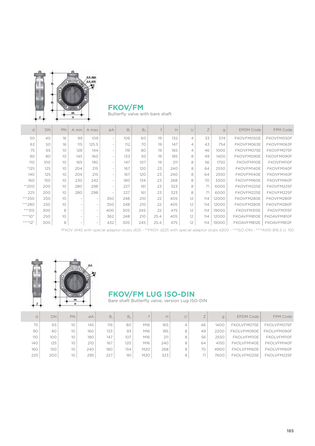

### **FKOV/FM**

Butterfly valve with bare shaft

| d        | DN  | PN              | A min                    | A max                    | ØA                       | B,  | B <sub>2</sub> |      | H   |                | Z   | g     | <b>EPDM Code</b> | FPM Code    |
|----------|-----|-----------------|--------------------------|--------------------------|--------------------------|-----|----------------|------|-----|----------------|-----|-------|------------------|-------------|
| 50       | 40  | 16              | 99                       | 109                      | $\overline{\phantom{a}}$ | 106 | 60             | 19   | 132 | 4              | 33  | 574   | FKOVFM050E       | FKOVFM050F  |
| 63       | 50  | 16              | 115                      | 125.5                    |                          | 112 | 70             | 19   | 147 | $\overline{4}$ | 43  | 754   | FKOVFM063E       | FKOVFM063F  |
| 75       | 65  | 10 <sup>°</sup> | 128                      | 144                      | $\overline{\phantom{a}}$ | 119 | 80             | 19   | 165 | 4              | 46  | 1000  | FKOVFM075E       | FKOVFM075F  |
| 90       | 80  | 10              | 145                      | 160                      | $\overline{\phantom{a}}$ | 133 | 93             | 19   | 185 | 8              | 49  | 1400  | FKOVFM090E       | FKOVFM090F  |
| 110      | 100 | 10              | 165                      | 190                      |                          | 147 | 107            | 19   | 211 | 8              | 56  | 1750  | FKOVFM110E       | FKOVFM110F  |
| $*125$   | 125 | 10              | 204                      | 215                      | $\overline{\phantom{a}}$ | 167 | 120            | 23   | 240 | 8              | 64  | 2550  | FKOVFM140E       | FKOVFM140F  |
| 140      | 125 | 10              | 204                      | 215                      |                          | 167 | 120            | 23   | 240 | 8              | 64  | 2550  | FKOVFM140E       | FKOVFM140F  |
| 160      | 150 | 10              | 230                      | 242                      | $\overline{\phantom{a}}$ | 180 | 134            | 23   | 268 | 8              | 70  | 3300  | FKOVFM160E       | FKOVFM160F  |
| $*200$   | 200 | 10              | 280                      | 298                      | $\overline{\phantom{a}}$ | 227 | 161            | 23   | 323 | 8              | 71  | 6000  | FKOVFM225E       | FKOVFM225F  |
| 225      | 200 | 10              | 280                      | 298                      |                          | 227 | 161            | 23   | 323 | 8              | 71  | 6000  | FKOVFM225E       | FKOVFM225F  |
| ***250   | 250 | 10              | $\overline{\phantom{a}}$ | $\overline{\phantom{a}}$ | 350                      | 248 | 210            | 22   | 405 | 12             | 114 | 12000 | FKOVFM280E       | FKOVFM280F  |
| ***280   | 250 | 10              |                          |                          | 350                      | 248 | 210            | 22   | 405 | 12             | 114 | 12000 | FKOVFM280E       | FKOVFM280F  |
| $***315$ | 300 | 8               |                          | $\overline{\phantom{a}}$ | 400                      | 305 | 245            | 22   | 475 | 12             | 114 | 19000 | FKOVFM315E       | FKOVFM315F  |
| $***10"$ | 250 | 10              |                          |                          | 362                      | 248 | 210            | 25.4 | 405 | 12             | 114 | 12000 | FKOAVFM810E      | FKOAVFM810F |
| $***12"$ | 300 | 8               |                          |                          | 432                      | 305 | 245            | 25.4 | 475 | 12             | 114 | 19000 | FKOAVFM812E      | FKOAVFM812F |

\*FKOV d140 with special adaptor stubs d125 - \*\*FKOV d225 with special adaptor stubs d200 - \*\*\*ISO-DIN - \*\*\*\*ANSI B16.5 cl. 150



### **FKOV/FM LUG ISO-DIN**

Bare shaft Butterfly valve, version Lug ISO-DIN

|     | DN  | PN              | øA  | B <sub>1</sub> | B <sub>2</sub> |     | Н.  |   |    | q    | <b>EPDM Code</b> | FPM Code    |
|-----|-----|-----------------|-----|----------------|----------------|-----|-----|---|----|------|------------------|-------------|
| 75  | 65  | 10              | 145 | 119            | 80             | M16 | 165 |   | 46 | 1400 | FKOLVFM075E      | FKOLVFM075F |
| 90  | 80  | 10              | 160 | 133            | 93             | M16 | 185 | 8 | 49 | 2200 | FKOLVFM090E      | FKOLVFM090F |
| 110 | 100 | 10              | 180 | 147            | 107            | M16 | 211 | 8 | 56 | 2550 | FKOLVFM110E      | FKOLVFM110F |
| 140 | 125 | 10              | 210 | 167            | 120            | M16 | 240 | 8 | 64 | 4150 | FKOLVFM140E      | FKOLVFM140F |
| 160 | 150 | 10              | 240 | 180            | 134            | M20 | 268 | 8 | 70 | 4900 | FKOLVFM160E      | FKOLVFM160F |
| 225 | 200 | 10 <sup>°</sup> | 295 | 227            | 161            | M20 | 323 |   |    | 7600 | FKOLVFM225E      | FKOLVFM225F |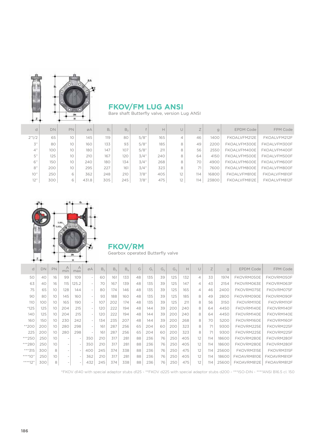

#### **FKOV/FM LUG ANSI**

Bare shaft Butterfly valve, version Lug ANSI

| d               | DN  | PN. | ØA    | B.  | B <sub>2</sub> |      | Н   |    | $\rightarrow$ | $\alpha$ | <b>EPDM Code</b> | FPM Code     |
|-----------------|-----|-----|-------|-----|----------------|------|-----|----|---------------|----------|------------------|--------------|
| 2"1/2           | 65  | 10  | 145   | 119 | 80             | 5/8" | 165 | 4  | 46            | 1400     | FKOALVFM212E     | FKOALVFM212F |
| $\mathcal{Z}''$ | 80  | 10  | 160   | 133 | 93             | 5/8" | 185 | 8  | 49            | 2200     | FKOALVFM300E     | FKOALVFM300F |
| 4"              | 100 | 10  | 180   | 147 | 107            | 5/8" | 211 | 8  | 56            | 2550     | FKOALVFM400E     | FKOALVFM400F |
| 5"              | 125 | 10  | 210   | 167 | 120            | 3/4" | 240 | 8  | 64            | 4150     | FKOALVFM500E     | FKOALVFM500F |
| 6"              | 150 | 10  | 240   | 180 | 134            | 3/4" | 268 | 8  | 70            | 4900     | FKOALVFM600E     | FKOALVFM600F |
| 8"              | 200 | 10  | 295   | 227 | 161            | 3/4" | 323 | 8  | 71            | 7600     | FKOALVFM800E     | FKOALVFM800F |
| 10"             | 250 | 6   | 362   | 248 | 210            | 7/8" | 405 | 12 | 114           | 16800    | FKOALVFM810E     | FKOALVFM810F |
| 12"             | 300 | 6   | 431.8 | 305 | 245            | 7/8" | 475 | 12 | 114           | 23800    | FKOALVFM812E     | FKOALVFM812F |



### **FKOV/RM**

Gearbox operated Butterfly valve

| d        | DN  | PN | $\forall$<br>min | $\forall$<br>max | ØA  | B <sub>2</sub> | B <sub>c</sub> | $B_{6}$ | G  | G,  | G, | $G_z$ | $\mathsf{H}$ | $\cup$         | Ζ   | g     | <b>EPDM Code</b> | FPM Code    |
|----------|-----|----|------------------|------------------|-----|----------------|----------------|---------|----|-----|----|-------|--------------|----------------|-----|-------|------------------|-------------|
| 50       | 40  | 16 | 99               | 109              |     | 60             | 161            | 133     | 48 | 135 | 39 | 125   | 132          | $\overline{4}$ | 33  | 1974  | FKOVRM050E       | FKOVRM050F  |
| 63       | 40  | 16 | 115              | 125.2            |     | 70             | 167            | 139     | 48 | 135 | 39 | 125   | 147          | 4              | 43  | 2154  | FKOVRM063E       | FKOVRM063F  |
| 75       | 65  | 10 | 128              | 144              |     | 80             | 174            | 146     | 48 | 135 | 39 | 125   | 165          | $\overline{4}$ | 46  | 2400  | FKOVRM075E       | FKOVRM075F  |
| 90       | 80  | 10 | 145              | 160              |     | 93             | 188            | 160     | 48 | 135 | 39 | 125   | 185          | 8              | 49  | 2800  | FKOVRM090E       | FKOVRM090F  |
| 110      | 100 | 10 | 165              | 190              |     | 107            | 202            | 174     | 48 | 135 | 39 | 125   | 211          | 8              | 56  | 3150  | FKOVRM110E       | FKOVRM110F  |
| $*125$   | 125 | 10 | 204              | 215              |     | 120            | 222            | 194     | 48 | 144 | 39 | 200   | 240          | 8              | 64  | 4450  | FKOVRM140E       | FKOVRM140F  |
| 140      | 125 | 10 | 204              | 215              |     | 120            | 222            | 194     | 48 | 144 | 39 | 200   | 240          | 8              | 64  | 4450  | FKOVRM140E       | FKOVRM140E  |
| 160      | 150 | 10 | 230              | 242              |     | 134            | 235            | 207     | 48 | 144 | 39 | 200   | 268          | 8              | 70  | 5200  | FKOVRM160E       | FKOVRM160F  |
| $*200$   | 200 | 10 | 280              | 298              |     | 161            | 287            | 256     | 65 | 204 | 60 | 200   | 323          | 8              | 71  | 9300  | FKOVRM225E       | FKOVRM225F  |
| 225      | 200 | 10 | 280              | 298              |     | 161            | 287            | 256     | 65 | 204 | 60 | 200   | 323          | 8              | 71  | 9300  | FKOVRM225E       | FKOVRM225F  |
| $***250$ | 250 | 10 |                  |                  | 350 | 210            | 317            | 281     | 88 | 236 | 76 | 250   | 405          | 12             | 114 | 18600 | FKOVRM280E       | FKOVRM280F  |
| ***280   | 250 | 10 |                  |                  | 350 | 210            | 317            | 281     | 88 | 236 | 76 | 250   | 405          | 12             | 114 | 18600 | FKOVRM280E       | FKOVRM280F  |
| $***315$ | 300 | 8  |                  |                  | 400 | 245            | 374            | 338     | 88 | 236 | 76 | 250   | 475          | 12             | 114 | 25600 | FKOVRM315E       | FKOVRM315F  |
| $***10"$ | 250 | 10 |                  |                  | 362 | 210            | 317            | 281     | 88 | 236 | 76 | 250   | 405          | 12             | 114 | 18600 | FKOAVRM810E      | FKOAVRM810F |
| *****12" | 300 | 8  |                  |                  | 432 | 245            | 374            | 338     | 88 | 236 | 76 | 250   | 475          | 12             | 114 | 25600 | FKOAVRM812E      | FKOAVRM812F |

\*FKOV d140 with special adaptor stubs d125 - \*\*FKOV d225 with special adaptor stubs d200 - \*\*\*ISO-DIN - \*\*\*\*ANSI B16.5 cl. 150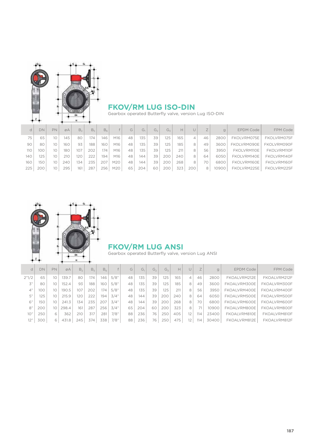

#### **FKOV/RM LUG ISO-DIN**

Gearbox operated Butterfly valve, version Lug ISO-DIN

| d   | <b>DN</b> | PN              | øA  | B <sub>2</sub> | B <sub>5</sub> | B <sub>6</sub> |     | G  | G1  | G <sub>2</sub> | G <sub>z</sub> | Н   |     |    | $\alpha$ | <b>EPDM Code</b> | FPM Code    |
|-----|-----------|-----------------|-----|----------------|----------------|----------------|-----|----|-----|----------------|----------------|-----|-----|----|----------|------------------|-------------|
| 75  | 65        | 10              | 145 | 80             | 174            | 146            | M16 | 48 | 135 | 39             | 125            | 165 |     | 46 | 2800     | FKOLVRM075E      | FKOLVRM075F |
| 90  | 80        | 10              | 160 | 93             | 188            | 160            | M16 | 48 | 135 | 39             | 125            | 185 |     | 49 | 3600     | FKOLVRM090E      | FKOLVRM090F |
| 110 | 00        | 10              | 180 | 107            | 202            | 174            | M16 | 48 | 135 | 39             | 125            | 211 |     | 56 | 3950     | FKOLVRM110E      | FKOLVRM110F |
| 140 | 125       | 10              | 210 | 120            | 222            | 194            | M16 | 48 | 144 | 39             | 200            | 240 |     | 64 | 6050     | FKOLVRM140E      | FKOLVRM140F |
| 160 | 150       | 10              | 240 | 134            | 235            | 207            | M20 | 48 | 144 | 39             | 200            | 268 | 8   |    | 6800     | FKOLVRM160E      | FKOLVRM160F |
| 225 | 200       | 10 <sup>°</sup> | 295 | 161            | 287            | 256            | M20 | 65 | 204 | 60             | 200            | 323 | 200 | 8  | 10900    | FKOLVRM225E      | FKOLVRM225F |



#### **FKOV/RM LUG ANSI**

Gearbox operated Butterfly valve, version Lug ANSI

| d     | DN  | PN | ØA    | B <sub>2</sub> | B <sub>c</sub> | $B_{6}$ |      | G  | G,  | $G_{2}$ | G,  | H   | U         |     | q     | <b>EPDM Code</b> | FPM Code     |
|-------|-----|----|-------|----------------|----------------|---------|------|----|-----|---------|-----|-----|-----------|-----|-------|------------------|--------------|
| 2"1/2 | 65  | 10 | 139.  | 80             | 174            | 146     | 5/8" | 48 | 135 | 39      | 125 | 165 | 4         | 46  | 2800  | FKOALVRM212E     | FKOALVRM212F |
| 3"    | 80  | 10 | 152.4 | 93             | 188            | 160     | 5/8" | 48 | 135 | 39      | 125 | 185 | 8         | 49  | 3600  | FKOALVRM300E     | FKOALVRM300F |
| 4"    | 100 | 10 | 190.5 | 107            | 202            | 174     | 5/8" | 48 | 135 | 39      | 125 | 211 | 8         | 56  | 3950  | FKOALVRM400E     | FKOALVRM400F |
| 5"    | 125 | 10 | 215.9 | 120            | 222            | 194     | 3/4" | 48 | 144 | 39      | 200 | 240 | 8         | 64  | 6050  | FKOALVRM500E     | FKOALVRM500F |
| 6"    | 150 | 10 | 241.3 | 134            | 235            | 207     | 3/4" | 48 | 144 | 39      | 200 | 268 | 8         | 70  | 6800  | FKOALVRM600E     | FKOALVRM600F |
| 8"    | 200 | 10 | 298.4 | 161            | 287            | 256     | 3/4" | 65 | 204 | 60      | 200 | 323 | 8         |     | 10900 | FKOALVRM800E     | FKOALVRM800F |
| 10"   | 250 |    | 362   | 210            | 317            | 281     | 7/8" | 88 | 236 | 76      | 250 | 405 | 12        | 114 | 23400 | FKOALVRM810E     | FKOALVRM810F |
| 12"   | 300 | 6  | 431.8 | 245            | 374            | 338     | 7/8" | 88 | 236 | 76      | 250 | 475 | $12^{12}$ | 114 | 30400 | FKOALVRM812E     | FKOALVRM812F |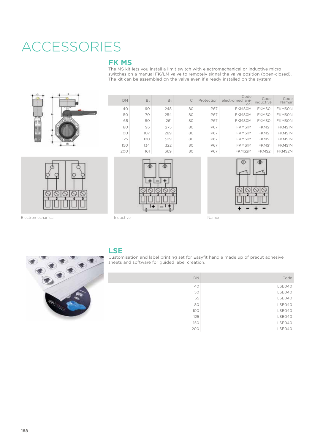# ACCESSORIES

#### **FK MS**

The MS kit lets you install a limit switch with electromechanical or inductive micro switches on a manual FK/LM valve to remotely signal the valve position (open-closed). The kit can be assembled on the valve even if already installed on the system.



| <b>DN</b> | B <sub>2</sub> | B <sub>x</sub> | $C_1$ | Protection  | Code<br>electromechani-<br>cal | Code<br>inductive | Code<br>Namur |
|-----------|----------------|----------------|-------|-------------|--------------------------------|-------------------|---------------|
| 40        | 60             | 248            | 80    | <b>IP67</b> | <b>FKMSOM</b>                  | <b>FKMSOI</b>     | <b>FKMSON</b> |
| 50        | 70             | 254            | 80    | <b>IP67</b> | <b>FKMSOM</b>                  | <b>FKMSOI</b>     | <b>FKMSON</b> |
| 65        | 80             | 261            | 80    | <b>IP67</b> | <b>FKMSOM</b>                  | <b>FKMSOI</b>     | <b>FKMSON</b> |
| 80        | 93             | 275            | 80    | <b>IP67</b> | FKMS1M                         | FKMS1I            | <b>FKMS1N</b> |
| 100       | 107            | 289            | 80    | <b>IP67</b> | FKMS1M                         | FKMS1I            | <b>FKMS1N</b> |
| 125       | 120            | 309            | 80    | <b>IP67</b> | FKMS1M                         | FKMS1I            | <b>FKMS1N</b> |
| 150       | 134            | 322            | 80    | <b>IP67</b> | FKMS1M                         | FKMS1I            | <b>FKMS1N</b> |
| 200       | 161            | 369            | 80    | <b>IP67</b> | FKMS2M                         | FKMS2I            | FKMS2N        |





Electromechanical and a metal inductive and a metal inductive Namur



#### **LSE**

Customisation and label printing set for Easyfit handle made up of precut adhesive sheets and software for guided label creation.

| DN  | Code   |
|-----|--------|
| 40  | LSE040 |
| 50  | LSE040 |
| 65  | LSE040 |
| 80  | LSE040 |
| 100 | LSE040 |
| 125 | LSE040 |
| 150 | LSE040 |
| 200 | LSE040 |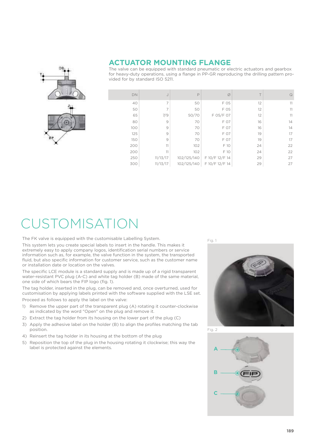

#### **ACTUATOR MOUNTING FLANGE**

The valve can be equipped with standard pneumatic or electric actuators and gearbox for heavy-duty operations, using a flange in PP-GR reproducing the drilling pattern provided for by standard ISO 5211.

| <b>DN</b> | J              | P           | Ø              |    | $\mathbf Q$ |
|-----------|----------------|-------------|----------------|----|-------------|
| 40        | 7              | 50          | F 05           | 12 | 11          |
| 50        | 7              | 50          | F 05           | 12 | 11          |
| 65        | 7/9            | 50/70       | F 05/F 07      | 12 | 11          |
| 80        | 9              | 70          | F 07           | 16 | 14          |
| 100       | $\overline{9}$ | 70          | F 07           | 16 | 14          |
| 125       | 9              | 70          | F 07           | 19 | 17          |
| 150       | 9              | 70          | F 07           | 19 | 17          |
| 200       | 11             | 102         | F 10           | 24 | 22          |
| 200       | 11             | 102         | F 10           | 24 | 22          |
| 250       | 11/13/17       | 102/125/140 | F 10/F 12/F 14 | 29 | 27          |
| 300       | 11/13/17       | 102/125/140 | F 10/F 12/F 14 | 29 | 27          |

## USTOMISATION

The FK valve is equipped with the customisable Labelling System.

This system lets you create special labels to insert in the handle. This makes it extremely easy to apply company logos, identification serial numbers or service information such as, for example, the valve function in the system, the transported fluid, but also specific information for customer service, such as the customer name or installation date or location on the valves.

The specific LCE module is a standard supply and is made up of a rigid transparent water-resistant PVC plug (A-C) and white tag holder (B) made of the same material, one side of which bears the FIP logo (fig. 1).

The tag holder, inserted in the plug, can be removed and, once overturned, used for customisation by applying labels printed with the software supplied with the LSE set.

Proceed as follows to apply the label on the valve:

- 1) Remove the upper part of the transparent plug (A) rotating it counter-clockwise as indicated by the word "Open" on the plug and remove it.
- 2) Extract the tag holder from its housing on the lower part of the plug (C)
- 3) Apply the adhesive label on the holder (B) to align the profiles matching the tab position.
- 4) Reinsert the tag holder in its housing at the bottom of the plug
- 5) Reposition the top of the plug in the housing rotating it clockwise; this way the label is protected against the elements.

Fig. 1





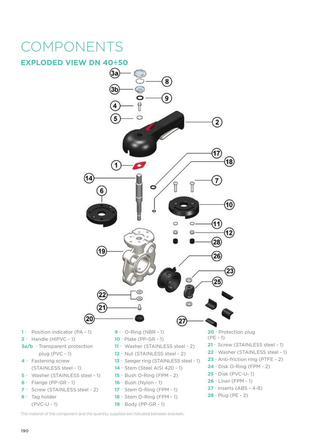# COMPONENTS

#### **EXPLODED VIEW DN 40÷50**



The material of the component and the quantity supplied are indicated between brackets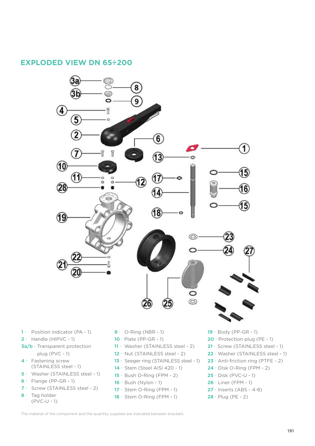#### **EXPLODED VIEW DN 65÷200**



- (STAINLESS steel 1)
- **5 ·** Washer (STAINLESS steel 1)
- $6 \cdot$  Flange (PP-GR 1)
- 7 · Screw (STAINLESS steel 2)
- 8 · Tag holder (PVC-U - 1)
- **14** · Stem (Steel AISI 420 1)
- **15**  $\cdot$  Bush O-Ring (FPM 2)
- **16** · Bush (Nylon 1)
- **17** · Stem O-Ring (FPM 1)
- **18** · Stem O-Ring (FPM 1)
- **20**  $\cdot$  Protection plug (PE 1)
- 21 · Screw (STAINLESS steel 1)
- 22 · Washer (STAINLESS steel 1)
- $23 \cdot$  Anti-friction ring (PTFE 2)
- **24** · Disk O-Ring (FPM 2)
- $25 \cdot$  Disk (PVC-U 1)
- **26** x Liner (FPM 1)
- **27** · Inserts (ABS 4-8)
- $28 \cdot$  Plug (PE 2)

The material of the component and the quantity supplied are indicated between brackets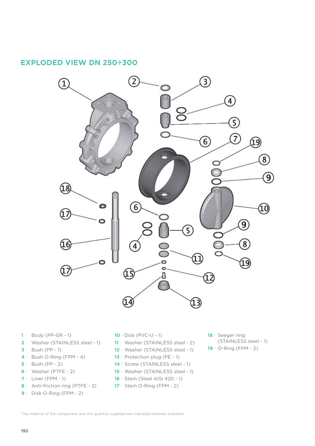#### **EXPLODED VIEW DN 250÷300**



- $1 \cdot$  Body (PP-GR 1)
- 2 · Washer (STAINLESS steel 1)
- $3 \cdot$  Bush (PP 1)
- $4 \cdot$  Bush O-Ring (FPM 4)
- $5 \cdot$  Bush (PP 2)
- $6 \cdot$  Washer (PTFE 2)
- $7 \cdot$  Liner (FPM 1)
- **8**  $\cdot$  Anti-friction ring (PTFE 2)
- $9 \cdot$  Disk O-Ring (FPM 2)
- $10 \cdot$  Disk (PVC-U 1)
- 11 · Washer (STAINLESS steel 2)
- 12 · Washer (STAINLESS steel 1)
- **13**  $\cdot$  Protection plug (PE 1)
- 14 · Screw (STAINLESS steel 1)
- 15 · Washer (STAINLESS steel 1)
- **16** · Stem (Steel AISI 420 1)
- **17**  $\cdot$  Stem O-Ring (FPM 2)
- 18 · Seeger ring (STAINLESS steel - 1)  $19 \cdot$  O-Ring (FPM - 2)

The material of the component and the quantity supplied are indicated between brackets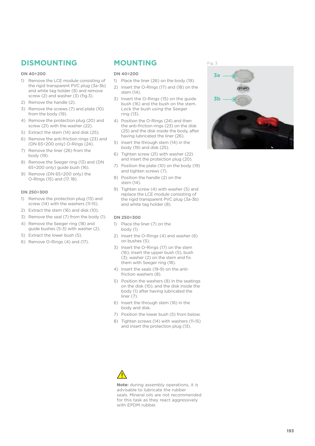### **DISMOUNTING MOUNTING**

#### **DN 40÷200**

- 1) Remove the LCE module consisting of the rigid transparent PVC plug (3a-3b) and white tag holder (8) and remove screw (2) and washer (3) (fig.3).
- 2) Remove the handle (2).
- 3) Remove the screws (7) and plate (10) from the body (19).
- 4) Remove the protection plug (20) and screw (21) with the washer (22).
- 5) Extract the stem (14) and disk (25).
- 6) Remove the anti-friction rings (23) and (DN 65÷200 only) O-Rings (24).
- 7) Remove the liner (26) from the body (19).
- 8) Remove the Seeger ring (13) and (DN 65÷200 only) guide bush (16).
- 9) Remove (DN 65÷200 only) the O-Rings (15) and (17, 18).

#### **DN 250÷300**

- 1) Remove the protection plug (13) and screw (14) with the washers (11-15).
- 2) Extract the stem (16) and disk (10).
- 3) Remove the seal (7) from the body (1).
- 4) Remove the Seeger ring (18) and guide bushes (5-3) with washer (2).
- 5) Extract the lower bush (5).
- 6) Remove O-Rings (4) and (17).

#### **DN 40÷200**

- 1) Place the liner (26) on the body (19).
- 2) Insert the O-Rings (17) and (18) on the stem (14).
- 3) Insert the O-Rings (15) on the guide bush (16) and the bush on the stem. Lock the bush using the Seeger ring (13).
- 4) Position the O-Rings (24) and then the anti-friction rings (23) on the disk (25) and the disk inside the body, after having lubricated the liner (26).
- 5) Insert the through stem (14) in the body (19) and disk (25).
- 6) Tighten screw (21) with washer (22) and insert the protection plug (20).
- 7) Position the plate (10) on the body (19) and tighten screws (7).
- 8) Position the handle (2) on the stem (14).
- 9) Tighten screw (4) with washer (5) and replace the LCE module consisting of the rigid transparent PVC plug (3a-3b) and white tag holder (8).

#### **DN 250÷300**

- 1) Place the liner (7) on the body (1).
- 2) Insert the O-Rings (4) and washer (6) on bushes (5).
- 3) Insert the O-Rings (17) on the stem (16); insert the upper bush (5), bush (3), washer (2) on the stem and fix them with Seeger ring (18).
- 4) Insert the seals (19-9) on the antifriction washers (8).
- 5) Position the washers (8) in the seatings on the disk (10), and the disk inside the body (1) after having lubricated the liner (7).
- 6) Insert the through stem (16) in the body and disk.
- 7) Position the lower bush (5) from below.
- 8) Tighten screws (14) with washers (11-15) and insert the protection plug (13).



**Note:** during assembly operations, it is advisable to lubricate the rubber seals. Mineral oils are not recommended for this task as they react aggressively with EPDM rubber.

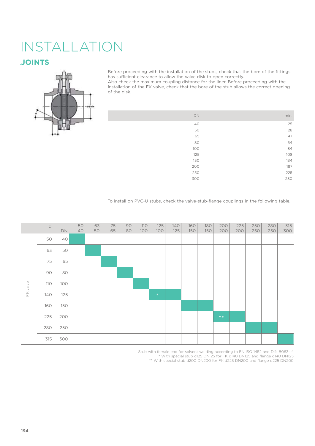# INSTALLATION

### **JOINTS JOINTS**



Before proceeding with the installation of the stubs, check that the bore of the fittings has sufficient clearance to allow the valve disk to open correctly.

Also check the maximum coupling distance for the liner. Before proceeding with the installation of the FK valve, check that the bore of the stub allows the correct opening of the disk.

| DN  | I min.   |
|-----|----------|
| 40  | 25       |
| 50  | 28       |
| 65  | 47       |
| 80  | 64<br>84 |
| 100 |          |
| 125 | 108      |
| 150 | 134      |
| 200 | 187      |
| 250 | 225      |
| 300 | 280      |

To install on PVC-U stubs, check the valve-stub-flange couplings in the following table.

|          | d   | <b>DN</b> | 50<br>40 | 63<br>50 | 75<br>65 | 90<br>80 | 110<br>100 | 125<br>100 | 140<br>125 | 160<br>150 | 180<br>150 | 200<br>200 | 225<br>200 | 250<br>250 | 280<br>250 | 315<br>300 |
|----------|-----|-----------|----------|----------|----------|----------|------------|------------|------------|------------|------------|------------|------------|------------|------------|------------|
|          | 50  | 40        |          |          |          |          |            |            |            |            |            |            |            |            |            |            |
|          | 63  | 50        |          |          |          |          |            |            |            |            |            |            |            |            |            |            |
|          | 75  | 65        |          |          |          |          |            |            |            |            |            |            |            |            |            |            |
|          | 90  | 80        |          |          |          |          |            |            |            |            |            |            |            |            |            |            |
|          | 110 | 100       |          |          |          |          |            |            |            |            |            |            |            |            |            |            |
| FK valve | 140 | 125       |          |          |          |          |            | $\ast$     |            |            |            |            |            |            |            |            |
|          | 160 | 150       |          |          |          |          |            |            |            |            |            |            |            |            |            |            |
|          | 225 | 200       |          |          |          |          |            |            |            |            |            | $***$      |            |            |            |            |
|          | 280 | 250       |          |          |          |          |            |            |            |            |            |            |            |            |            |            |
|          | 315 | 300       |          |          |          |          |            |            |            |            |            |            |            |            |            |            |

Stub with female end for solvent welding according to EN ISO 1452 and DIN 8063- 4 \* With special stub d125 DN125 for FK d140 DN125 and flange d140 DN125 \*\* With special stub d200 DN200 for FK d225 DN200 and flange d225 DN200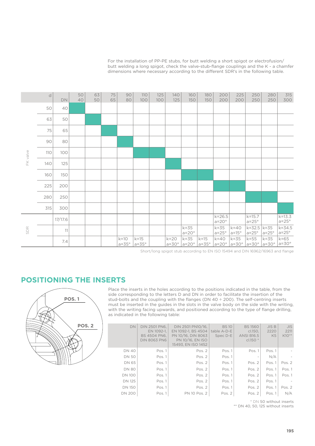For the installation of PP-PE stubs, for butt welding a short spigot or electrofusion/ butt welding a long spigot, check the valve-stub-flange couplings and the K - a chamfer dimensions where necessary according to the different SDR's in the following table.

|          | $\mathsf d$ | DN      | 50<br>40 | 63<br>50 | 75<br>65 | 90<br>80                 | <b>110</b><br>100        | 125<br>100 | 140<br>125               | 160<br>150               | 180<br>150               | 200<br>200                 | 225<br>200               | 250<br>250                            | 280<br>250   | 315<br>300                 |
|----------|-------------|---------|----------|----------|----------|--------------------------|--------------------------|------------|--------------------------|--------------------------|--------------------------|----------------------------|--------------------------|---------------------------------------|--------------|----------------------------|
|          | 50          | 40      |          |          |          |                          |                          |            |                          |                          |                          |                            |                          |                                       |              |                            |
|          | 63          | 50      |          |          |          |                          |                          |            |                          |                          |                          |                            |                          |                                       |              |                            |
|          | 75          | 65      |          |          |          |                          |                          |            |                          |                          |                          |                            |                          |                                       |              |                            |
|          | 90          | 80      |          |          |          |                          |                          |            |                          |                          |                          |                            |                          |                                       |              |                            |
| FK valve | 110         | 100     |          |          |          |                          |                          |            |                          |                          |                          |                            |                          |                                       |              |                            |
|          | 140         | 125     |          |          |          |                          |                          |            |                          |                          |                          |                            |                          |                                       |              |                            |
|          | 160         | 150     |          |          |          |                          |                          |            |                          |                          |                          |                            |                          |                                       |              |                            |
|          | 225         | 200     |          |          |          |                          |                          |            |                          |                          |                          |                            |                          |                                       |              |                            |
|          | 280         | 250     |          |          |          |                          |                          |            |                          |                          |                          |                            |                          |                                       |              |                            |
|          | 315         | 300     |          |          |          |                          |                          |            |                          |                          |                          |                            |                          |                                       |              |                            |
|          |             | 17/17.6 |          |          |          |                          |                          |            |                          |                          |                          | $k = 26.5$<br>$a=20^\circ$ |                          | $k = 15.7$<br>$a=25^\circ$            |              | $k = 13.3$<br>$a=25^\circ$ |
| SDR      |             | 11      |          |          |          |                          |                          |            |                          | $k = 35$<br>$a=20^\circ$ |                          | $k = 35$<br>$a=25^\circ$   | $k = 40$<br>$a=15^\circ$ | $k = 32.5$ $k = 35$<br>$a=25^\circ$   | $a=25^\circ$ | $k = 34.5$<br>$a=25^\circ$ |
|          |             | 7.4     |          |          |          | $k=10$<br>$a = 35^\circ$ | $k=15$<br>$a = 35^\circ$ |            | $k = 20$<br>$a=30^\circ$ | $k = 35$<br>$a=20^\circ$ | $k=15$<br>$a = 35^\circ$ | $k = 40$<br>$a=20^\circ$   | $k = 35$<br>$a=30^\circ$ | $k = 55$<br>$a=30^\circ$ $a=30^\circ$ | $k = 35$     | $k = 65$<br>$a=30^\circ$   |

Short/long spigot stub according to EN ISO 15494 and DIN 16962/16963 and flange

#### **POSITIONING THE INSERTS**



Place the inserts in the holes according to the positions indicated in the table, from the side corresponding to the letters D and DN in order to facilitate the insertion of the stud-bolts and the coupling with the flanges (DN 40 ÷ 200). The self-centring inserts must be inserted in the guides in the slots in the valve body on the side with the writing, with the writing facing upwards, and positioned according to the type of flange drilling, as indicated in the following table:

| <b>DN</b>     | <b>DIN 2501 PN6.</b><br>EN 1092-1.<br>BS 4504 PN6.<br><b>DIN 8063 PN6</b> | DIN 2501 PN10/16.<br>EN 1092-1. BS 4504<br>PN 10/16, DIN 8063<br>PN 10/16. EN ISO<br>15493. EN ISO 1452 | <b>BS10</b><br>table A-D-E<br>Spec D-E | <b>BS1560</b><br>cl.150.<br><b>ANSI B16.5</b><br>$c1.150*$ | JISB<br>2220<br>K <sub>5</sub> | <b>JIS</b><br>2211<br>$K10**$ |
|---------------|---------------------------------------------------------------------------|---------------------------------------------------------------------------------------------------------|----------------------------------------|------------------------------------------------------------|--------------------------------|-------------------------------|
| <b>DN 40</b>  | Pos. 1                                                                    | Pos. 2                                                                                                  | Pos. 1                                 | Pos. 1                                                     | Pos. 1                         |                               |
| <b>DN 50</b>  | Pos. 1                                                                    | Pos. 2                                                                                                  | Pos. 1                                 |                                                            | N/A                            |                               |
| <b>DN 65</b>  | Pos. 1                                                                    | Pos. 2                                                                                                  | Pos. 1                                 | Pos. 2                                                     | Pos. 1                         | Pos. 2                        |
| <b>DN 80</b>  | Pos. 1                                                                    | Pos. 2                                                                                                  | Pos. 1                                 | Pos. $2$                                                   | Pos. 1                         | Pos. 1                        |
| <b>DN 100</b> | Pos. 1                                                                    | Pos. 2                                                                                                  | Pos. 1                                 | Pos. 2                                                     | Pos. 1                         | Pos. 1                        |
| <b>DN 125</b> | Pos. 1                                                                    | Pos. 2                                                                                                  | Pos. 1                                 | Pos. 2                                                     | Pos. 1                         |                               |
| <b>DN 150</b> | Pos. 1                                                                    | Pos. 2                                                                                                  | Pos. 1                                 | Pos. 2                                                     | Pos. 1                         | Pos. 2                        |
| <b>DN 200</b> | Pos. 1                                                                    | PN 10 Pos. 2                                                                                            | Pos. 2                                 | Pos. 2                                                     | Pos. 1                         | N/A                           |

\* DN 50 without inserts

\*\* DN 40, 50, 125 without inserts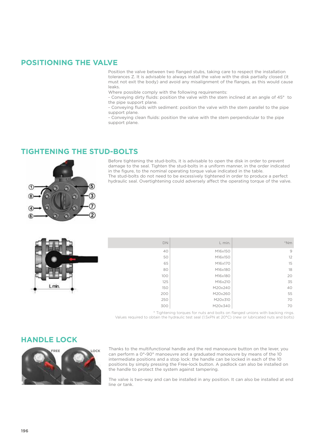#### **POSITIONING THE VALVE**

Position the valve between two flanged stubs, taking care to respect the installation tolerances Z. It is advisable to always install the valve with the disk partially closed (it must not exit the body) and avoid any misalignment of the flanges, as this would cause leaks.

Where possible comply with the following requirements:

- Conveying dirty fluids: position the valve with the stem inclined at an angle of 45° to the pipe support plane.

- Conveying fluids with sediment: position the valve with the stem parallel to the pipe support plane.

- Conveying clean fluids: position the valve with the stem perpendicular to the pipe support plane.

#### **TIGHTENING THE STUD-BOLTS**



Before tightening the stud-bolts, it is advisable to open the disk in order to prevent damage to the seal. Tighten the stud-bolts in a uniform manner, in the order indicated in the figure, to the nominal operating torque value indicated in the table. The stud-bolts do not need to be excessively tightened in order to produce a perfect hydraulic seal. Overtightening could adversely affect the operating torque of the valve.



| DN  | L min.  | $*Nm$ |
|-----|---------|-------|
| 40  | M16x150 | 9     |
| 50  | M16x150 | 12    |
| 65  | M16x170 | 15    |
| 80  | M16x180 | 18    |
| 100 | M16x180 | 20    |
| 125 | M16x210 | 35    |
| 150 | M20x240 | 40    |
| 200 | M20x260 | 55    |
| 250 | M20x310 | 70    |
| 300 | M20x340 | 70    |

\* Tightening torques for nuts and bolts on flanged unions with backing rings. Values required to obtain the hydraulic test seal (1.5xPN at 20°C) (new or lubricated nuts and bolts)

#### **HANDLE LOCK**



Thanks to the multifunctional handle and the red manoeuvre button on the lever, you can perform a 0°-90° manoeuvre and a graduated manoeuvre by means of the 10 intermediate positions and a stop lock: the handle can be locked in each of the 10 positions by simply pressing the Free-lock button. A padlock can also be installed on the handle to protect the system against tampering.

The valve is two-way and can be installed in any position. It can also be installed at end line or tank.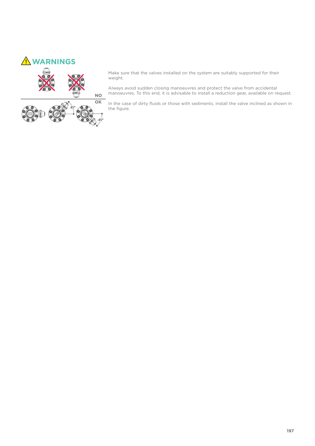

Make sure that the valves installed on the system are suitably supported for their weight.

Always avoid sudden closing manoeuvres and protect the valve from accidental manoeuvres. To this end, it is advisable to install a reduction gear, available on request.

In the case of dirty fluids or those with sediments, install the valve inclined as shown in the figure.